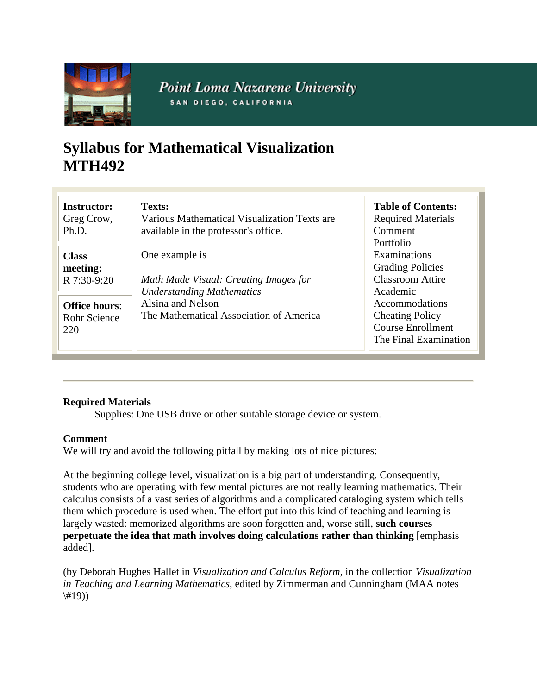

**Point Loma Nazarene University** SAN DIEGO, CALIFORNIA

# **Syllabus for Mathematical Visualization MTH492**

| <b>Instructor:</b>   | Texts:                                       | <b>Table of Contents:</b> |
|----------------------|----------------------------------------------|---------------------------|
| Greg Crow,           | Various Mathematical Visualization Texts are | <b>Required Materials</b> |
| Ph.D.                | available in the professor's office.         | Comment                   |
|                      |                                              | Portfolio                 |
| <b>Class</b>         | One example is                               | Examinations              |
| meeting:             |                                              | <b>Grading Policies</b>   |
| R 7:30-9:20          | Math Made Visual: Creating Images for        | <b>Classroom Attire</b>   |
|                      | <b>Understanding Mathematics</b>             | Academic                  |
| <b>Office hours:</b> | Alsina and Nelson                            | Accommodations            |
| Rohr Science         | The Mathematical Association of America      | <b>Cheating Policy</b>    |
| 220                  |                                              | <b>Course Enrollment</b>  |
|                      |                                              | The Final Examination     |
|                      |                                              |                           |

## **Required Materials**

Supplies: One USB drive or other suitable storage device or system.

#### **Comment**

We will try and avoid the following pitfall by making lots of nice pictures:

At the beginning college level, visualization is a big part of understanding. Consequently, students who are operating with few mental pictures are not really learning mathematics. Their calculus consists of a vast series of algorithms and a complicated cataloging system which tells them which procedure is used when. The effort put into this kind of teaching and learning is largely wasted: memorized algorithms are soon forgotten and, worse still, **such courses perpetuate the idea that math involves doing calculations rather than thinking** [emphasis added].

(by Deborah Hughes Hallet in *Visualization and Calculus Reform,* in the collection *Visualization in Teaching and Learning Mathematics*, edited by Zimmerman and Cunningham (MAA notes  $\langle$ #19))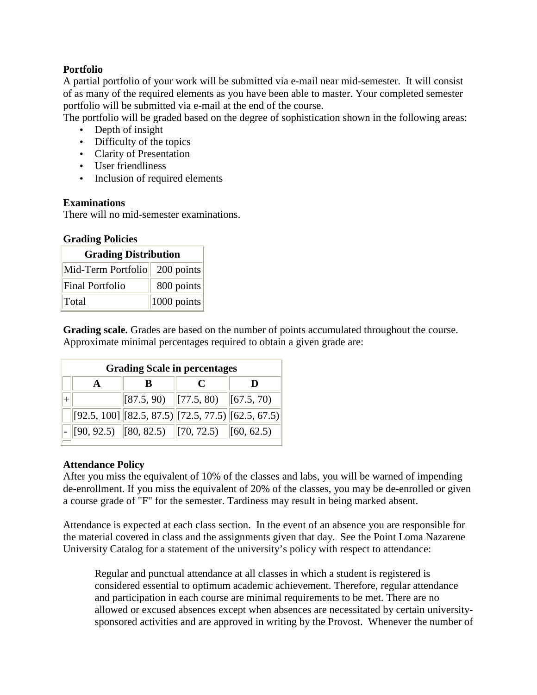### **Portfolio**

A partial portfolio of your work will be submitted via e-mail near mid-semester. It will consist of as many of the required elements as you have been able to master. Your completed semester portfolio will be submitted via e-mail at the end of the course.

The portfolio will be graded based on the degree of sophistication shown in the following areas:

- Depth of insight
- Difficulty of the topics
- Clarity of Presentation
- User friendliness
- Inclusion of required elements

#### **Examinations**

There will no mid-semester examinations.

#### **Grading Policies**

| <b>Grading Distribution</b>   |                |  |  |  |
|-------------------------------|----------------|--|--|--|
| Mid-Term Portfolio 200 points |                |  |  |  |
| <b>Final Portfolio</b>        | 800 points     |  |  |  |
| Total                         | $ 1000$ points |  |  |  |

**Grading scale.** Grades are based on the number of points accumulated throughout the course. Approximate minimal percentages required to obtain a given grade are:

| <b>Grading Scale in percentages</b> |  |  |                                                                                                                            |                                                            |  |  |
|-------------------------------------|--|--|----------------------------------------------------------------------------------------------------------------------------|------------------------------------------------------------|--|--|
|                                     |  |  | C                                                                                                                          |                                                            |  |  |
|                                     |  |  | $\begin{bmatrix} 87.5, 90 \end{bmatrix}$ $\begin{bmatrix} 77.5, 80 \end{bmatrix}$ $\begin{bmatrix} 67.5, 70 \end{bmatrix}$ |                                                            |  |  |
|                                     |  |  |                                                                                                                            | $[92.5, 100]$ $[82.5, 87.5]$ $[72.5, 77.5]$ $[62.5, 67.5]$ |  |  |
|                                     |  |  | $\vert \cdot \vert$ [90, 92.5) $\vert$ [80, 82.5) $\vert$ [70, 72.5) $\vert$ [60, 62.5)                                    |                                                            |  |  |

#### **Attendance Policy**

After you miss the equivalent of 10% of the classes and labs, you will be warned of impending de-enrollment. If you miss the equivalent of 20% of the classes, you may be de-enrolled or given a course grade of "F" for the semester. Tardiness may result in being marked absent.

Attendance is expected at each class section. In the event of an absence you are responsible for the material covered in class and the assignments given that day. See the Point Loma Nazarene University Catalog for a statement of the university's policy with respect to attendance:

Regular and punctual attendance at all classes in which a student is registered is considered essential to optimum academic achievement. Therefore, regular attendance and participation in each course are minimal requirements to be met. There are no allowed or excused absences except when absences are necessitated by certain universitysponsored activities and are approved in writing by the Provost. Whenever the number of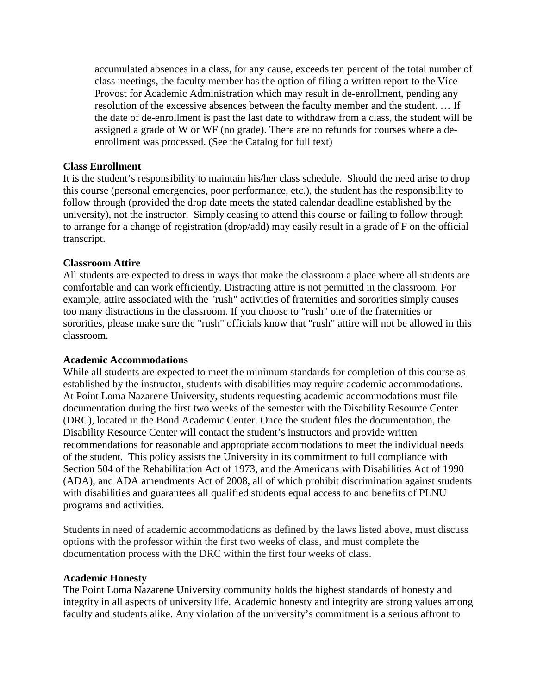accumulated absences in a class, for any cause, exceeds ten percent of the total number of class meetings, the faculty member has the option of filing a written report to the Vice Provost for Academic Administration which may result in de-enrollment, pending any resolution of the excessive absences between the faculty member and the student. … If the date of de-enrollment is past the last date to withdraw from a class, the student will be assigned a grade of W or WF (no grade). There are no refunds for courses where a deenrollment was processed. (See the Catalog for full text)

#### **Class Enrollment**

It is the student's responsibility to maintain his/her class schedule. Should the need arise to drop this course (personal emergencies, poor performance, etc.), the student has the responsibility to follow through (provided the drop date meets the stated calendar deadline established by the university), not the instructor. Simply ceasing to attend this course or failing to follow through to arrange for a change of registration (drop/add) may easily result in a grade of F on the official transcript.

#### **Classroom Attire**

All students are expected to dress in ways that make the classroom a place where all students are comfortable and can work efficiently. Distracting attire is not permitted in the classroom. For example, attire associated with the "rush" activities of fraternities and sororities simply causes too many distractions in the classroom. If you choose to "rush" one of the fraternities or sororities, please make sure the "rush" officials know that "rush" attire will not be allowed in this classroom.

#### **Academic Accommodations**

While all students are expected to meet the minimum standards for completion of this course as established by the instructor, students with disabilities may require academic accommodations. At Point Loma Nazarene University, students requesting academic accommodations must file documentation during the first two weeks of the semester with the Disability Resource Center (DRC), located in the Bond Academic Center. Once the student files the documentation, the Disability Resource Center will contact the student's instructors and provide written recommendations for reasonable and appropriate accommodations to meet the individual needs of the student. This policy assists the University in its commitment to full compliance with Section 504 of the Rehabilitation Act of 1973, and the Americans with Disabilities Act of 1990 (ADA), and ADA amendments Act of 2008, all of which prohibit discrimination against students with disabilities and guarantees all qualified students equal access to and benefits of PLNU programs and activities.

Students in need of academic accommodations as defined by the laws listed above, must discuss options with the professor within the first two weeks of class, and must complete the documentation process with the DRC within the first four weeks of class.

#### **Academic Honesty**

The Point Loma Nazarene University community holds the highest standards of honesty and integrity in all aspects of university life. Academic honesty and integrity are strong values among faculty and students alike. Any violation of the university's commitment is a serious affront to